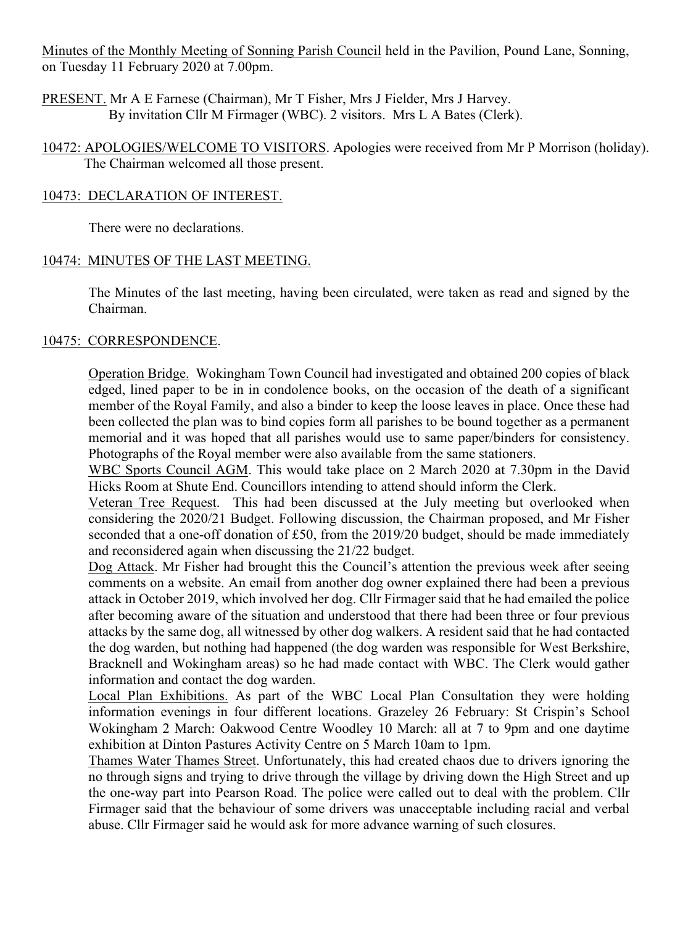Minutes of the Monthly Meeting of Sonning Parish Council held in the Pavilion, Pound Lane, Sonning, on Tuesday 11 February 2020 at 7.00pm.

PRESENT. Mr A E Farnese (Chairman), Mr T Fisher, Mrs J Fielder, Mrs J Harvey. By invitation Cllr M Firmager (WBC). 2 visitors. Mrs L A Bates (Clerk).

10472: APOLOGIES/WELCOME TO VISITORS. Apologies were received from Mr P Morrison (holiday). The Chairman welcomed all those present.

# 10473: DECLARATION OF INTEREST.

There were no declarations.

### 10474: MINUTES OF THE LAST MEETING.

The Minutes of the last meeting, having been circulated, were taken as read and signed by the Chairman.

### 10475: CORRESPONDENCE.

Operation Bridge. Wokingham Town Council had investigated and obtained 200 copies of black edged, lined paper to be in in condolence books, on the occasion of the death of a significant member of the Royal Family, and also a binder to keep the loose leaves in place. Once these had been collected the plan was to bind copies form all parishes to be bound together as a permanent memorial and it was hoped that all parishes would use to same paper/binders for consistency. Photographs of the Royal member were also available from the same stationers.

WBC Sports Council AGM. This would take place on 2 March 2020 at 7.30pm in the David Hicks Room at Shute End. Councillors intending to attend should inform the Clerk.

Veteran Tree Request. This had been discussed at the July meeting but overlooked when considering the 2020/21 Budget. Following discussion, the Chairman proposed, and Mr Fisher seconded that a one-off donation of £50, from the 2019/20 budget, should be made immediately and reconsidered again when discussing the 21/22 budget.

Dog Attack. Mr Fisher had brought this the Council's attention the previous week after seeing comments on a website. An email from another dog owner explained there had been a previous attack in October 2019, which involved her dog. Cllr Firmager said that he had emailed the police after becoming aware of the situation and understood that there had been three or four previous attacks by the same dog, all witnessed by other dog walkers. A resident said that he had contacted the dog warden, but nothing had happened (the dog warden was responsible for West Berkshire, Bracknell and Wokingham areas) so he had made contact with WBC. The Clerk would gather information and contact the dog warden.

Local Plan Exhibitions. As part of the WBC Local Plan Consultation they were holding information evenings in four different locations. Grazeley 26 February: St Crispin's School Wokingham 2 March: Oakwood Centre Woodley 10 March: all at 7 to 9pm and one daytime exhibition at Dinton Pastures Activity Centre on 5 March 10am to 1pm.

Thames Water Thames Street. Unfortunately, this had created chaos due to drivers ignoring the no through signs and trying to drive through the village by driving down the High Street and up the one-way part into Pearson Road. The police were called out to deal with the problem. Cllr Firmager said that the behaviour of some drivers was unacceptable including racial and verbal abuse. Cllr Firmager said he would ask for more advance warning of such closures.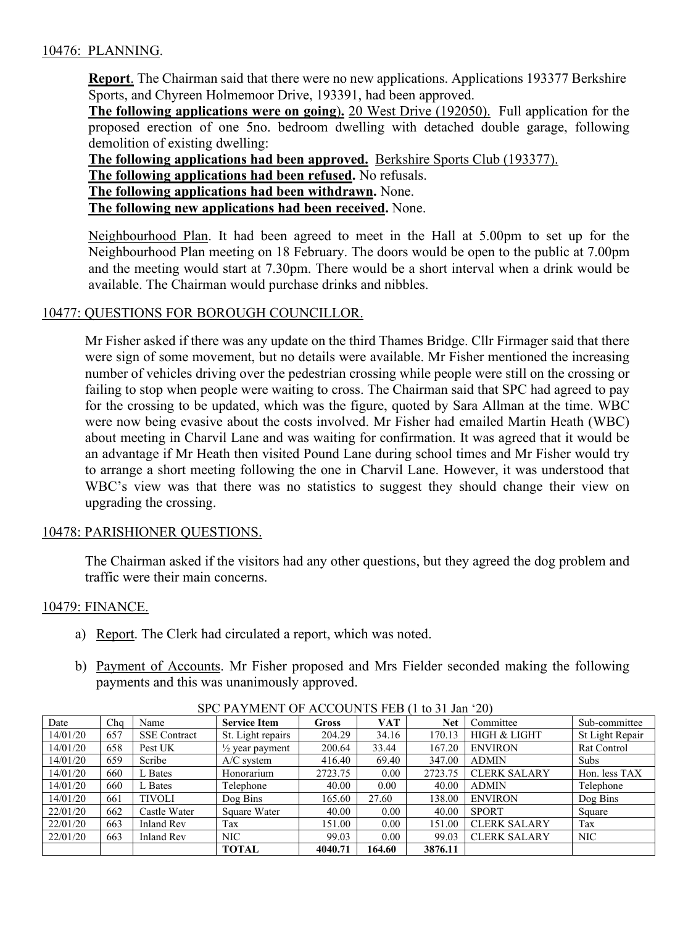# 10476: PLANNING.

**Report**. The Chairman said that there were no new applications. Applications 193377 Berkshire Sports, and Chyreen Holmemoor Drive, 193391, had been approved.

**The following applications were on going**)**.** 20 West Drive (192050). Full application for the proposed erection of one 5no. bedroom dwelling with detached double garage, following demolition of existing dwelling:

**The following applications had been approved.** Berkshire Sports Club (193377).

**The following applications had been refused.** No refusals.

**The following applications had been withdrawn.** None.

**The following new applications had been received.** None.

Neighbourhood Plan. It had been agreed to meet in the Hall at 5.00pm to set up for the Neighbourhood Plan meeting on 18 February. The doors would be open to the public at 7.00pm and the meeting would start at 7.30pm. There would be a short interval when a drink would be available. The Chairman would purchase drinks and nibbles.

### 10477: QUESTIONS FOR BOROUGH COUNCILLOR.

Mr Fisher asked if there was any update on the third Thames Bridge. Cllr Firmager said that there were sign of some movement, but no details were available. Mr Fisher mentioned the increasing number of vehicles driving over the pedestrian crossing while people were still on the crossing or failing to stop when people were waiting to cross. The Chairman said that SPC had agreed to pay for the crossing to be updated, which was the figure, quoted by Sara Allman at the time. WBC were now being evasive about the costs involved. Mr Fisher had emailed Martin Heath (WBC) about meeting in Charvil Lane and was waiting for confirmation. It was agreed that it would be an advantage if Mr Heath then visited Pound Lane during school times and Mr Fisher would try to arrange a short meeting following the one in Charvil Lane. However, it was understood that WBC's view was that there was no statistics to suggest they should change their view on upgrading the crossing.

### 10478: PARISHIONER QUESTIONS.

The Chairman asked if the visitors had any other questions, but they agreed the dog problem and traffic were their main concerns.

### 10479: FINANCE.

- a) Report. The Clerk had circulated a report, which was noted.
- b) Payment of Accounts. Mr Fisher proposed and Mrs Fielder seconded making the following payments and this was unanimously approved.

| Date     | Chq | Name                | <b>Service Item</b>        | <b>Gross</b> | <b>VAT</b> | Net     | Committee               | Sub-committee   |
|----------|-----|---------------------|----------------------------|--------------|------------|---------|-------------------------|-----------------|
| 14/01/20 | 657 | <b>SSE</b> Contract | St. Light repairs          | 204.29       | 34.16      | 170.13  | <b>HIGH &amp; LIGHT</b> | St Light Repair |
| 14/01/20 | 658 | Pest UK             | $\frac{1}{2}$ year payment | 200.64       | 33.44      | 167.20  | <b>ENVIRON</b>          | Rat Control     |
| 14/01/20 | 659 | Scribe              | $A/C$ system               | 416.40       | 69.40      | 347.00  | <b>ADMIN</b>            | Subs            |
| 14/01/20 | 660 | L Bates             | Honorarium                 | 2723.75      | 0.00       | 2723.75 | <b>CLERK SALARY</b>     | Hon. less TAX   |
| 14/01/20 | 660 | L Bates             | Telephone                  | 40.00        | 0.00       | 40.00   | <b>ADMIN</b>            | Telephone       |
| 14/01/20 | 661 | <b>TIVOLI</b>       | Dog Bins                   | 165.60       | 27.60      | 138.00  | <b>ENVIRON</b>          | Dog Bins        |
| 22/01/20 | 662 | Castle Water        | Square Water               | 40.00        | 0.00       | 40.00   | <b>SPORT</b>            | Square          |
| 22/01/20 | 663 | <b>Inland Rev</b>   | Tax                        | 151.00       | 0.00       | 151.00  | <b>CLERK SALARY</b>     | Tax             |
| 22/01/20 | 663 | <b>Inland Rev</b>   | <b>NIC</b>                 | 99.03        | 0.00       | 99.03   | <b>CLERK SALARY</b>     | <b>NIC</b>      |
|          |     |                     | <b>TOTAL</b>               | 4040.71      | 164.60     | 3876.11 |                         |                 |

SPC PAYMENT OF ACCOUNTS FEB (1 to 31 Jan '20)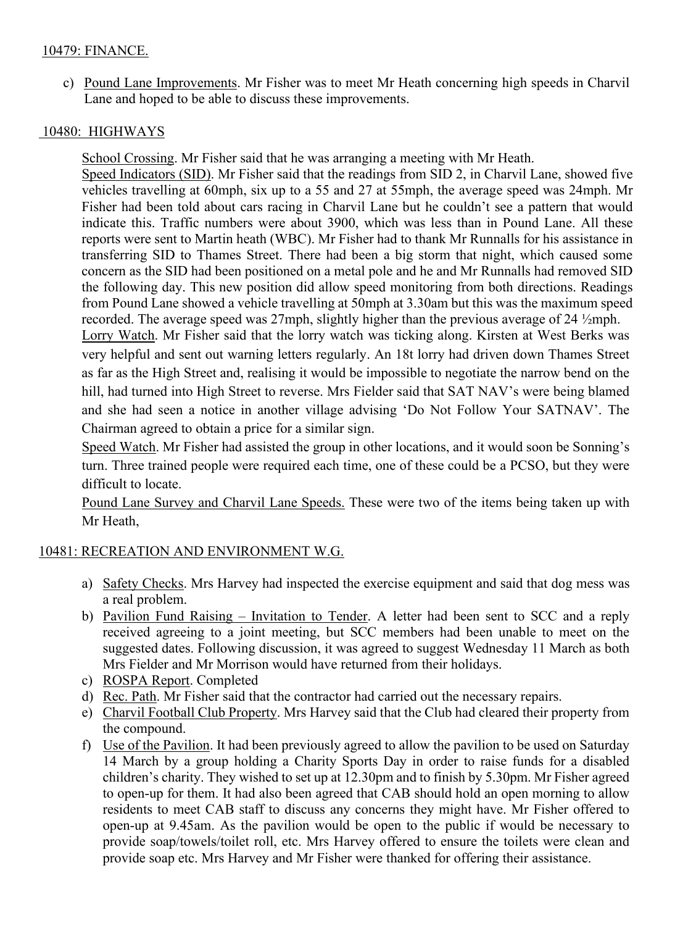# 10479: FINANCE.

c) Pound Lane Improvements. Mr Fisher was to meet Mr Heath concerning high speeds in Charvil Lane and hoped to be able to discuss these improvements.

### 10480: HIGHWAYS

School Crossing. Mr Fisher said that he was arranging a meeting with Mr Heath.

Speed Indicators (SID). Mr Fisher said that the readings from SID 2, in Charvil Lane, showed five vehicles travelling at 60mph, six up to a 55 and 27 at 55mph, the average speed was 24mph. Mr Fisher had been told about cars racing in Charvil Lane but he couldn't see a pattern that would indicate this. Traffic numbers were about 3900, which was less than in Pound Lane. All these reports were sent to Martin heath (WBC). Mr Fisher had to thank Mr Runnalls for his assistance in transferring SID to Thames Street. There had been a big storm that night, which caused some concern as the SID had been positioned on a metal pole and he and Mr Runnalls had removed SID the following day. This new position did allow speed monitoring from both directions. Readings from Pound Lane showed a vehicle travelling at 50mph at 3.30am but this was the maximum speed recorded. The average speed was 27mph, slightly higher than the previous average of 24 ½mph.

Lorry Watch. Mr Fisher said that the lorry watch was ticking along. Kirsten at West Berks was very helpful and sent out warning letters regularly. An 18t lorry had driven down Thames Street as far as the High Street and, realising it would be impossible to negotiate the narrow bend on the hill, had turned into High Street to reverse. Mrs Fielder said that SAT NAV's were being blamed and she had seen a notice in another village advising 'Do Not Follow Your SATNAV'. The Chairman agreed to obtain a price for a similar sign.

Speed Watch. Mr Fisher had assisted the group in other locations, and it would soon be Sonning's turn. Three trained people were required each time, one of these could be a PCSO, but they were difficult to locate.

Pound Lane Survey and Charvil Lane Speeds. These were two of the items being taken up with Mr Heath,

# 10481: RECREATION AND ENVIRONMENT W.G.

- a) Safety Checks. Mrs Harvey had inspected the exercise equipment and said that dog mess was a real problem.
- b) Pavilion Fund Raising Invitation to Tender. A letter had been sent to SCC and a reply received agreeing to a joint meeting, but SCC members had been unable to meet on the suggested dates. Following discussion, it was agreed to suggest Wednesday 11 March as both Mrs Fielder and Mr Morrison would have returned from their holidays.
- c) ROSPA Report. Completed
- d) Rec. Path. Mr Fisher said that the contractor had carried out the necessary repairs.
- e) Charvil Football Club Property. Mrs Harvey said that the Club had cleared their property from the compound.
- f) Use of the Pavilion. It had been previously agreed to allow the pavilion to be used on Saturday 14 March by a group holding a Charity Sports Day in order to raise funds for a disabled children's charity. They wished to set up at 12.30pm and to finish by 5.30pm. Mr Fisher agreed to open-up for them. It had also been agreed that CAB should hold an open morning to allow residents to meet CAB staff to discuss any concerns they might have. Mr Fisher offered to open-up at 9.45am. As the pavilion would be open to the public if would be necessary to provide soap/towels/toilet roll, etc. Mrs Harvey offered to ensure the toilets were clean and provide soap etc. Mrs Harvey and Mr Fisher were thanked for offering their assistance.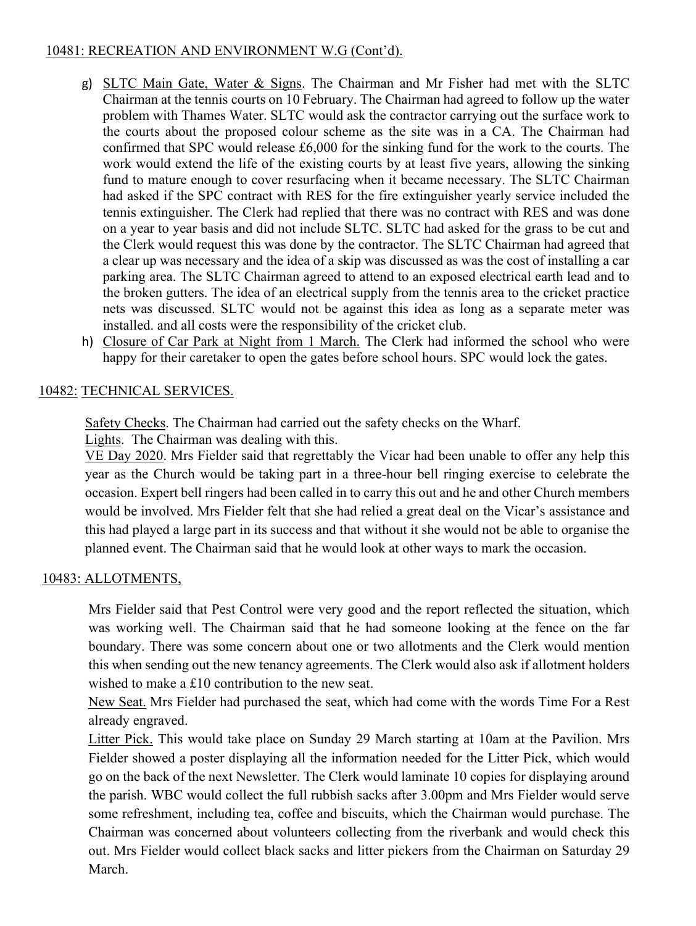# 10481: RECREATION AND ENVIRONMENT W.G (Cont'd).

- g) SLTC Main Gate, Water & Signs. The Chairman and Mr Fisher had met with the SLTC Chairman at the tennis courts on 10 February. The Chairman had agreed to follow up the water problem with Thames Water. SLTC would ask the contractor carrying out the surface work to the courts about the proposed colour scheme as the site was in a CA. The Chairman had confirmed that SPC would release £6,000 for the sinking fund for the work to the courts. The work would extend the life of the existing courts by at least five years, allowing the sinking fund to mature enough to cover resurfacing when it became necessary. The SLTC Chairman had asked if the SPC contract with RES for the fire extinguisher yearly service included the tennis extinguisher. The Clerk had replied that there was no contract with RES and was done on a year to year basis and did not include SLTC. SLTC had asked for the grass to be cut and the Clerk would request this was done by the contractor. The SLTC Chairman had agreed that a clear up was necessary and the idea of a skip was discussed as was the cost of installing a car parking area. The SLTC Chairman agreed to attend to an exposed electrical earth lead and to the broken gutters. The idea of an electrical supply from the tennis area to the cricket practice nets was discussed. SLTC would not be against this idea as long as a separate meter was installed. and all costs were the responsibility of the cricket club.
- h) Closure of Car Park at Night from 1 March. The Clerk had informed the school who were happy for their caretaker to open the gates before school hours. SPC would lock the gates.

# 10482: TECHNICAL SERVICES.

Safety Checks. The Chairman had carried out the safety checks on the Wharf. Lights. The Chairman was dealing with this.

VE Day 2020. Mrs Fielder said that regrettably the Vicar had been unable to offer any help this year as the Church would be taking part in a three-hour bell ringing exercise to celebrate the occasion. Expert bell ringers had been called in to carry this out and he and other Church members would be involved. Mrs Fielder felt that she had relied a great deal on the Vicar's assistance and this had played a large part in its success and that without it she would not be able to organise the planned event. The Chairman said that he would look at other ways to mark the occasion.

# 10483: ALLOTMENTS,

Mrs Fielder said that Pest Control were very good and the report reflected the situation, which was working well. The Chairman said that he had someone looking at the fence on the far boundary. There was some concern about one or two allotments and the Clerk would mention this when sending out the new tenancy agreements. The Clerk would also ask if allotment holders wished to make a £10 contribution to the new seat.

New Seat. Mrs Fielder had purchased the seat, which had come with the words Time For a Rest already engraved.

Litter Pick. This would take place on Sunday 29 March starting at 10am at the Pavilion. Mrs Fielder showed a poster displaying all the information needed for the Litter Pick, which would go on the back of the next Newsletter. The Clerk would laminate 10 copies for displaying around the parish. WBC would collect the full rubbish sacks after 3.00pm and Mrs Fielder would serve some refreshment, including tea, coffee and biscuits, which the Chairman would purchase. The Chairman was concerned about volunteers collecting from the riverbank and would check this out. Mrs Fielder would collect black sacks and litter pickers from the Chairman on Saturday 29 March.